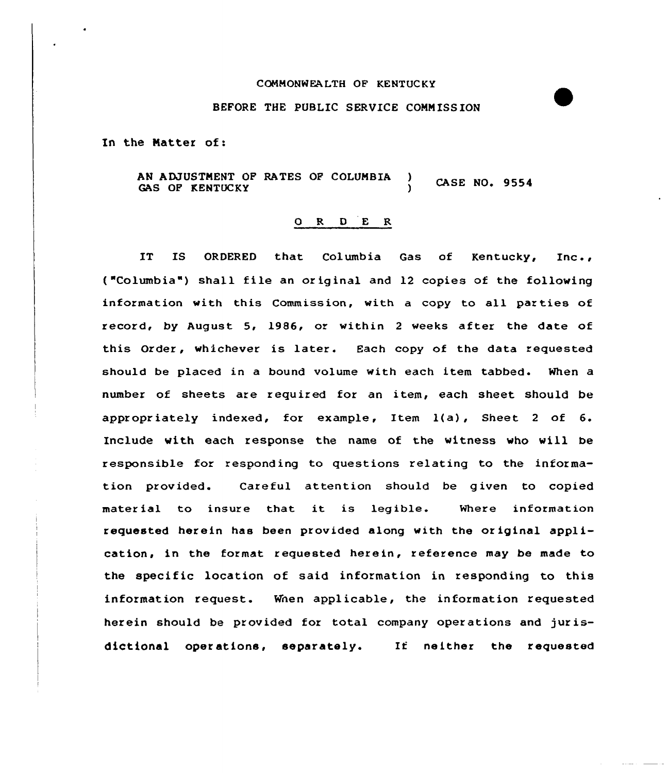## COMMONWEALTH OF KENTUCKY

## BEFORE THE PUBLIC SERVICE COMMISSION

In the Matter of:

AN ADJUSTMENT OF RATES OF COLUMBIA ) CASE NO. 9554 GAS OF KENTUCKY

## ORDER

IT IS ORDERED that Columbia Gas of Kentucky, Inc., ("Columbia") shall file an original and 12 copies of the following information with this Commission, with a copy to all parties of record, by August 5, 1986, or within 2 weeks after the date of this Order, whichever is later. Each copy of the data requested should be placed in a bound volume with each item tabbed. When a number of sheets are required for an item, each sheet should be appropriately indexed, for example, Item l(a), Sheet <sup>2</sup> of 6. Include with each response the name of the witness who will be responsible for responding to questions relating to the information provided. Careful attention should be given to copied material to insure that it is legible. Where information requested herein has been provided along with the original application, in the format requested herein, reference may be made to the specific location of said information in responding to this information request. Wnen applicable, the information requested herein should be provided for total company operations and jurisdictional operations, separately. If neither the requested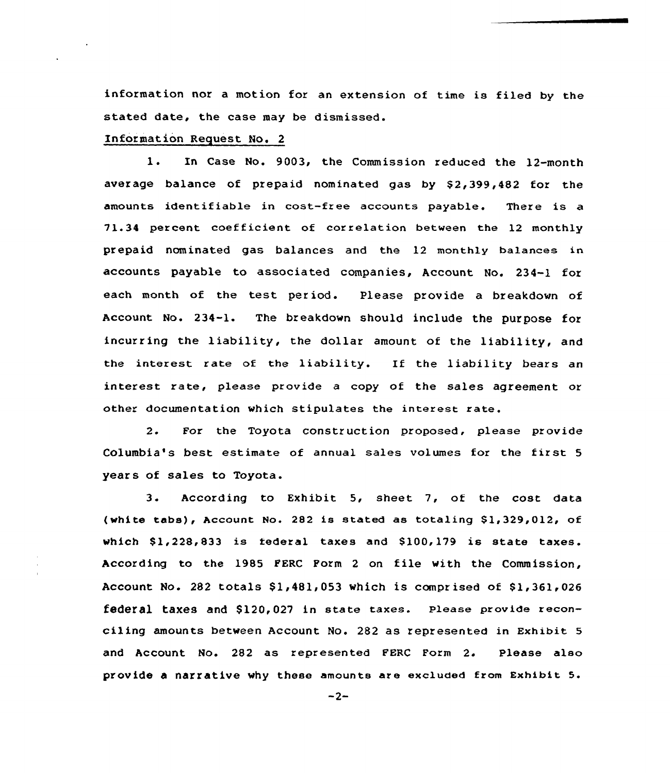information nor a motion for an extension of time is filed by the stated date, the case may be dismissed.

## Information Request No. 2

1. In Case No. 9003, the Commission reduced the 12-month average balance of prepaid nominated gas by \$2,399,482 for the amounts identifiable in cast-free accounts payable. There is a 71.34 percent coefficient of correlation between the 12 monthly prepaid nominated gas balances and the 12 monthly balances in accounts payable to associated companies, Account No. 234-1 for each month of the test period. Please provide a breakdown of Account No. 234-1. The breakdown should include the purpose for incurring the liability, the dollar amount of the liability, and the interest rate of the liability. If the liability bears an interest rate, please provide a copy of the sales agreement or other documentation which stipulates the interest rate.

2. For the Toyota construction proposed, please provide Columbia's best estimate of annual sales volumes for the first <sup>5</sup> years of sales to Toyota.

3. According to Exhibit 5, sheet 7, of the cost data (white tabs), Account No. 282 is stated as totaling  $$1,329,012$ , of which  $$1,228,833$  is federal taxes and  $$100,179$  is state taxes. According to the 1985 PERC Form <sup>2</sup> on file with the Commission, Account No. 282 totals  $$1,481,053$  which is comprised of  $$1,361,026$ federal taxes and  $$120.027$  in state taxes. Please provide reconciling amounts between Account No. 282 as represented in Exhibit 5 and Account No. 282 as represented FERC Form 2. Please also provide a narrative why these amounts are excluded from Exhibit 5.

 $-2-$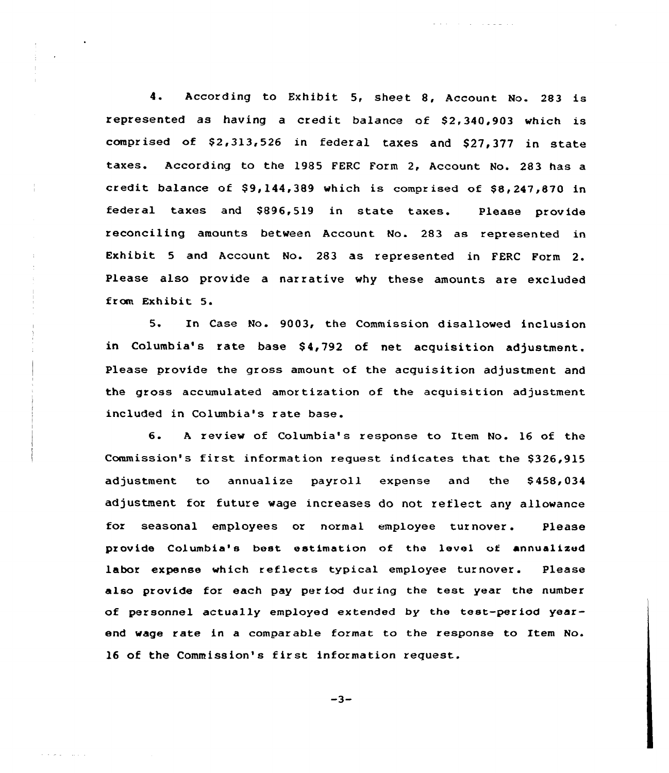4. According to Exhibit 5, sheet 8, Account No. <sup>283</sup> is represented as having a credit balance of 82,340,903 which is comprised of \$2,313,526 in federal taxes and \$27,377 in state taxes. According to the 1985 FERC Form 2, Account No. 283 has a credit balance of  $$9,144,389$  which is comprised of  $$8,247,870$  in federal taxes and \$896,519 in state taxes. Please provide reconciling amounts between Account No. 283 as represented in Exhibit <sup>5</sup> and Account No. 283 as represented in FERC Form 2. Please also provide a narrative why these amounts are excluded from Exhibit 5.

المتوعب والمتحدث

5. In Case No. 9003, the Commission disallowed inclusion in Columbia's rate base \$4,792 of net acquisition adjustment. Please provide the gross amount of the acquisition adjustment and the gross accumulated amortization of the acquisition adjustment included in Columbia's rate base.

6. <sup>A</sup> review of Columbia's response to Item No. 16 of the Commission's first information request indicates that the \$326,915 adjustment to annualize payroll expense and the S458,034 adjustment for future wage increases do not reflect any allowance for seasonal employees or normal employee turnover. Please provide Columbia's best estimation of the level of annualizud labor expense which reflects typical employee turnover. Please also provide for each pay per iod dur ing the test year the number of personnel actually employed extended by the test-period yearend wage rate in a comparable format to the response to Item No. 16 of the Commission's first information request.

-3-

and and contact and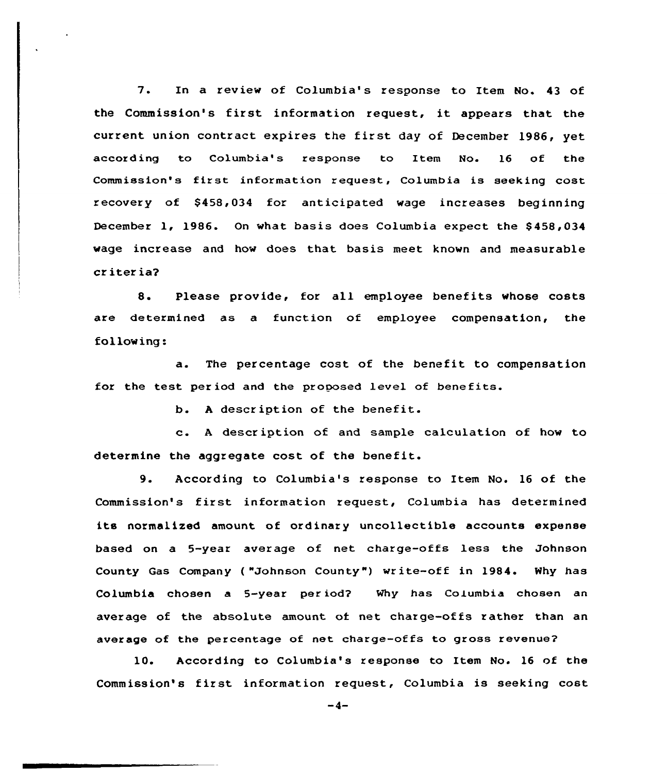7. In a review of Columbia's response to Item No. 43 of the Commission's first information request, it appears that the current union contract expires the first day of December 1986, yet according to Columbia's response to Item No. 16 of the Commission's first information request, Columbia is seeking cost recovery of \$458,034 for anticipated wage increases beginning December 1, 1986. On what basis does Columbia expect the \$458,034 wage increase and how does that basis meet known and measurable cr iter ia?

8. Please provide, for all employee benefits whose costs are determined as a function of employee compensation, the fol low ing:

a. The percentage cost of the benefit to compensation for the test per iod and the proposed level of benefits.

b. <sup>A</sup> description of the benefit.

c. <sup>A</sup> descr iption of and sample calculation of how to determine the aggregate cost of the benefit.

9. According to Columbia's zesponse to Item No. <sup>16</sup> of the Commission's first information request, Columbia has determined its normalized amount of ordinazy uncollectible accounts expense based on a 5-year average of net. charge-offs less the Johnson County Gas Company ("Johnson County") write-off in 1984. Why has Columbia chosen a 5-year period? Why has Columbia chosen an average of the absolute amount ot net charge-offs rathez than an average of the percentage of net charge-offs to gross revenue?

10. According to Columbia's response to Item No. 16 of the Commission's first information request, Columbia is seeking cost

 $-4-$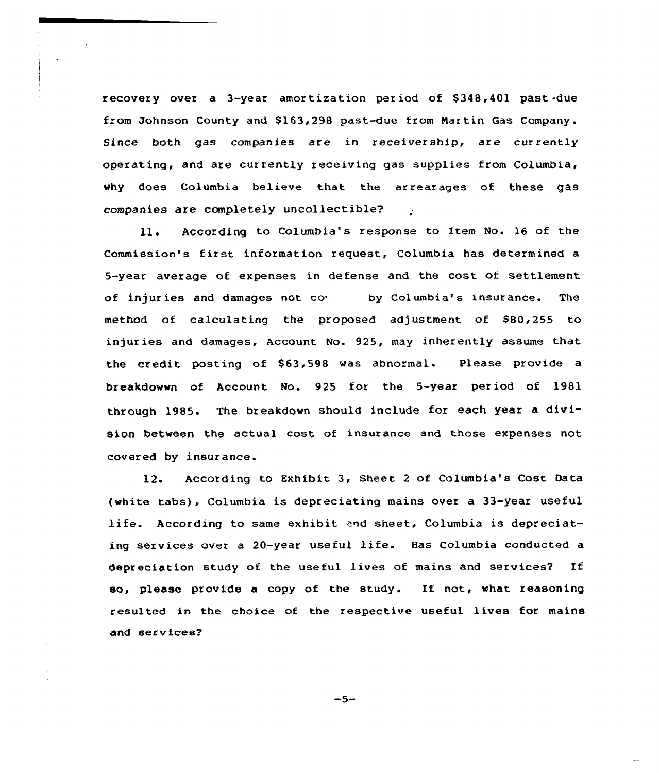recovery over a 3-year amortization period of \$ 348,401 past -due from Johnson County and \$ 163,298 past-due from Nartin Gas Company. Since both gas companies are in receivership, are currently operating, and are currently receiving gas supplies from Columbia, why does Columbia believe that the arrearages of these gas companies are completely uncollectible?

According to Columbia's response to Item No. 16 of the 11. Commission's first information request, Columbia has determined <sup>a</sup> 5-year average of expenses in defense and the cost of settlement of injuries and damages not co<sup>b</sup> by Columbia's insurance. The method of calculating the proposed adjustment of \$80,255 to injuries and damages, Account No. 925, may inherently assume that the credit posting of \$63,598 was abnormal. Please provide a breakdowwn of Account Mo. 925 for the 5-year per iod of 1981 through 1985. The breakdown should include for each year a division between the actual cost of insurance and those expenses not covered by insurance.

12. According to Exhibit 3, Sheet <sup>2</sup> of Columbia's Cost. Data (white tabs), Columbia is depreciating mains over a 33-year useful life. According to same exhibit and sheet, Columbia is depreciating services over <sup>a</sup> 20-year useful life. Has Columbia conducted <sup>a</sup> depreciation study of the useful lives of mains and services? If so, please provide <sup>a</sup> copy of the study. If not, what reasoning resulted in the choice of the respective useful lives for mains and services?

 $-5-$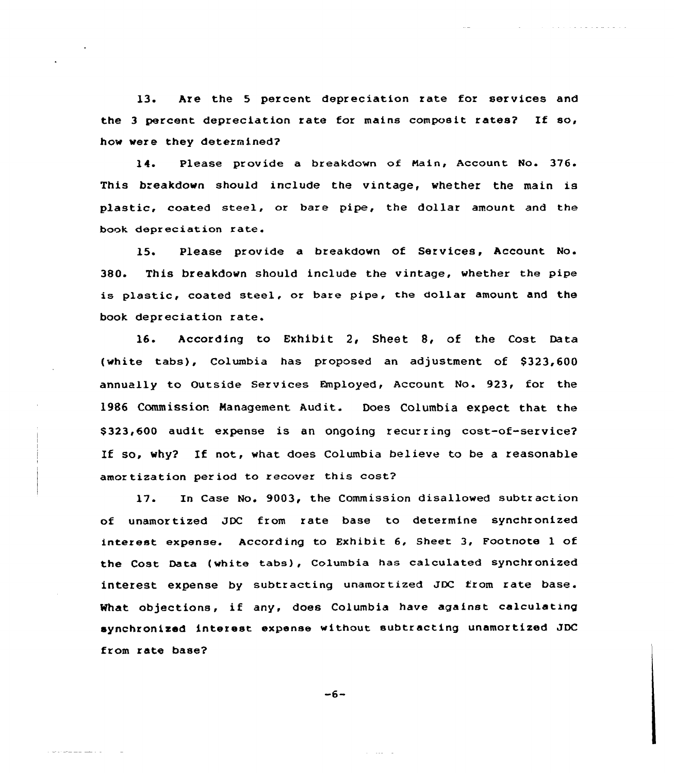13. Are the 5 percent depreciation rate for services and the 3 percent depreciation rate for mains composit rates? If  $so,$ how were they determined?

والمتواصل والمتمام والمتمارين

14. Please provide a breakdown of Main, Account No. 376. This breakdown should include the vintage, whether the main is plastic, coated steel, or bare pipe, the dollar amount and the book depreciation rate.

15. Please provide a breakdown of Services, Account No. 380. This breakdown should include the vintage, whether the pipe is plastic, coated steel, or bare pipe, the dollar amount and the book depreciation rate.

16. According to Exhibit 2, Sheet 8, of the Cost Data (white tabs), Columbia has proposed an adjustment of \$323,600 annually to Outside Services Employed, Account No. 923, for the 1986 Commission Management Audit. Does Columbia expect that the \$323,600 audit expense is an ongoing recurring cost-of-service? If so, why? If not, what does Columbia believe to be a reasonable amortization period to recover this cost?

17. In Case No. 9003, the Commission disallowed subtraction of unamortized JDC from rate base to determine synchronized interest expense. According to Exhibit 6, Sheet 3, Footnote 1 of the Cost Data (white tabs), Columbia has calculated synchronized interest expense by subtracting unamortized JDC from rate base. What objections, if any, does Columbia have against calculating synchronized interest expense without subtracting unamortized JDC from rate base?

 $-6-$ 

الوارد المقدر الأول

الداريات للمساكنة والمتعادلات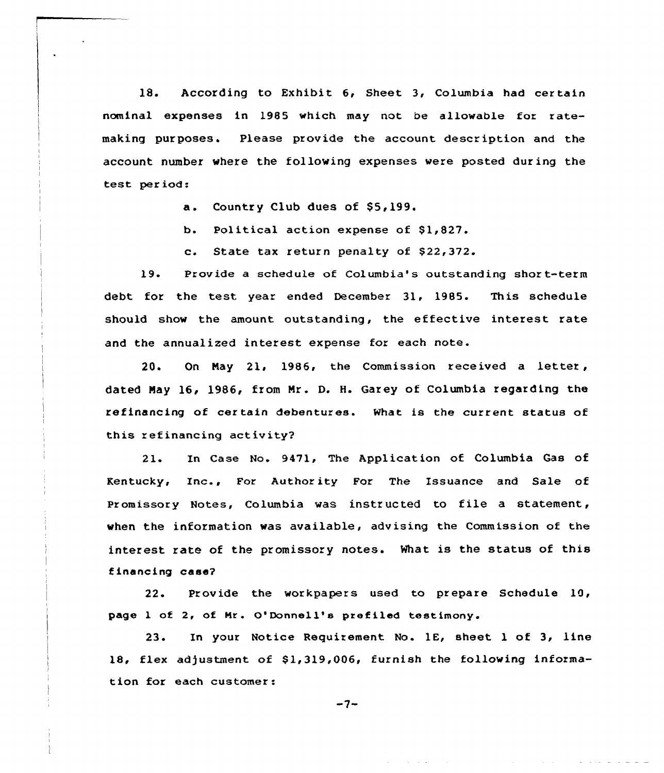18. According to Exhibit 6, Sheet 3, Columbia had certain nominal expenses in 1985 which may not be allowable for ratemaking purposes. Please provide the account description and the account number where the following expenses were posted during the test per iod:

a. Country Club dues of \$5,199.

b. Political action expense of \$1,827.

c. State tax return penalty of \$22,372.

19. Provide a schedule of Columbia's outstanding shor t-term debt for the test year ended December 31, 1985. This schedule should show the amount outstanding, the effective interest rate and the annualized interest expense for each note.

20. On May 21, 1986, the Commission received a letter, dated May 16, 1986, from Mr. D. H. Garey of Columbia regarding the refinancing of cer tain debentures. What is the current status of this refinancing activity?

21. In Case No. 9471, The Application of Columbia Gas of Rentucky, Inc., For Authority For The Issuance and Sale of promissory Notes, columbia was instructed to file a statement, when the information was available, advising the Commission of the interest rate of the promissory notes. What is the status of this financing case?

22. Provide the workpapers used to prepare Schedule 10, page 1 of 2, of Mr. O'Donnell's prefiled testimony.

23. In your Notice Requirement No. 1C, sheet 1 of 3, line 18, flex adjustment of \$1,319,006, furnish the following information for each customer:

 $-7-$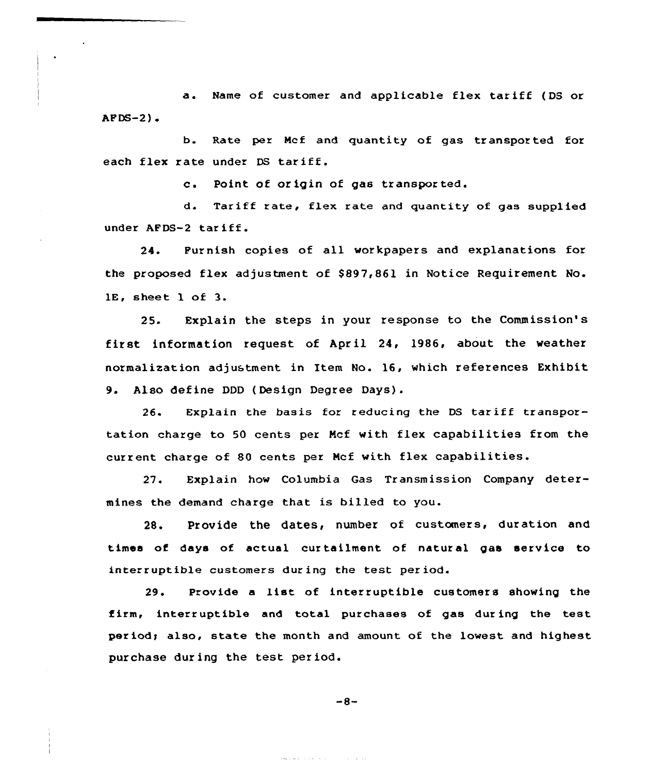a. Name of customer and applicable flex tariff (DS or  $APDS-2$ ).

b. Rate per Mcf and quantity of gas transported for each flex rate under DS tariff.

c. Point of origin of gas transpor ted.

d. Tariff rate, flex rate and quantity of gas supplied under AFDS-2 tariff.

24. Furnish copies of all workpapers and explanations for the proposed flex adjustment of \$ 897,861 in Notice Requirement No. 1E, sheet 1 of 3.

25. Explain the steps in your response to the Commission's first information request of April 24, 1986, about the weather normalisation adjustment in Item No. 16, which references Exhibit 9. Also define DDD ( Design Degree Days) .

26. Explain the basis for reducing the DS tariff transportation charge to 50 cents per Mcf with flex capabilities from the current charge of 80 cents per Mcf with flex capabilities.

27. Explain how Columbia Gas Transmission Company determines the demand charge that is billed to you.

28. Provide the dates, number of customers, duration and times of days of actual curtailment of natural gas service to interruptible customers during the test period.

29. Provide <sup>a</sup> list of interruptible customers showing the firm, interruptible and total purchases of gas during the test period; also, state the month and amount of the lowest and highest purchase during the test period.

$$
-8-
$$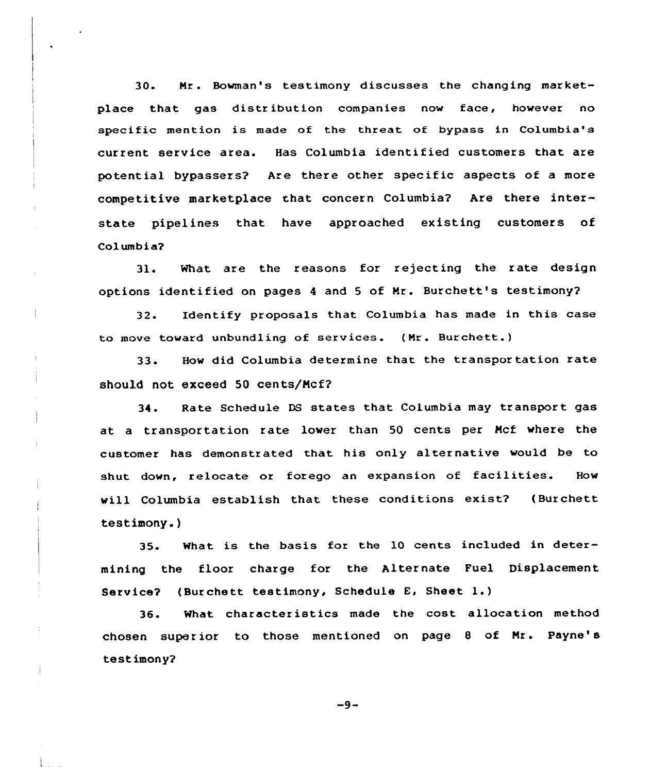30. Mr. Bowman's testimony discusses the changing marketplace that gas distr ibution companies now face, however no specific mention is made of the threat of bypass in Columbia's current service area. Has Columbia identified customers that are potential bypassers? Are there other specific aspects of a more competitive marketplace that concern Columbia? Are there interstate pipelines that have approached existing customers of Columbia?

31. What are the reasons for rejecting the rate design options identified on pages 4 and 5 of Mr. Burchett's testimony?

32. Identify proposals that Columbia has made in this case to move toward unbundling of services. (Nr. Burchett. )

33. How did Columbia determine that the transpor tation rate should not exceed 50 cents/Ncf?

34. Rate Schedule DS states that Columbia may transport gas at a transportation rate lower than 50 cents per Mcf where the customer has demonstrated that his only alternative would be to shut down, relocate or forego an expansion of facilities. How will Columbia establish that these conditions exist? (Burchett testimony. )

35. What is the basis for the 10 cents included in determining the floor charge for the Alternate Fuel Displacement Service? (Burchett testimony, Schedule E, Sheet l.)

36. What characteristics made the cost allocation method chosen superior to those mentioned on page 8 of Mr. Payne's testimony?

 $-9-$